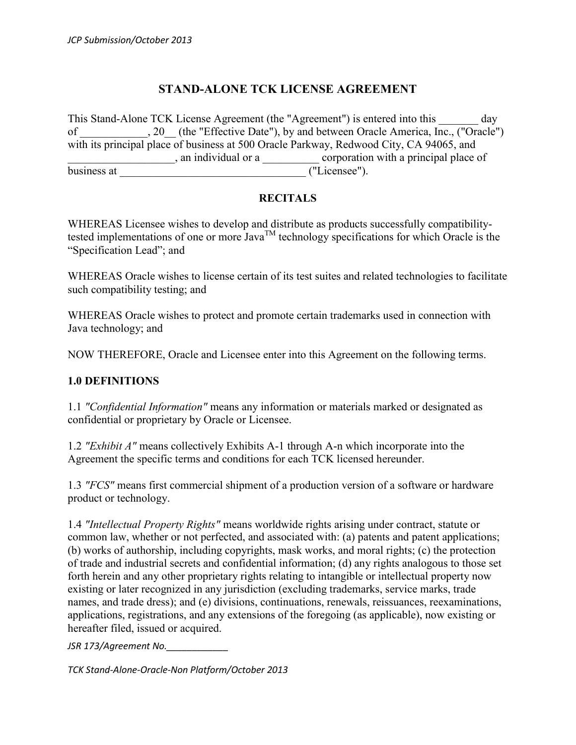# **STAND-ALONE TCK LICENSE AGREEMENT**

This Stand-Alone TCK License Agreement (the "Agreement") is entered into this day of \_\_\_\_\_\_\_\_\_, 20\_ (the "Effective Date"), by and between Oracle America, Inc., ("Oracle") with its principal place of business at 500 Oracle Parkway, Redwood City, CA 94065, and \_\_\_\_\_\_\_\_\_\_\_\_\_\_\_\_\_\_\_, an individual or a \_\_\_\_\_\_\_\_\_\_ corporation with a principal place of business at \_\_\_\_\_\_\_\_\_\_\_\_\_\_\_\_\_\_\_\_\_\_\_\_\_\_\_\_\_\_\_\_\_ ("Licensee").

#### **RECITALS**

WHEREAS Licensee wishes to develop and distribute as products successfully compatibilitytested implementations of one or more  $Java^{TM}$  technology specifications for which Oracle is the "Specification Lead"; and

WHEREAS Oracle wishes to license certain of its test suites and related technologies to facilitate such compatibility testing; and

WHEREAS Oracle wishes to protect and promote certain trademarks used in connection with Java technology; and

NOW THEREFORE, Oracle and Licensee enter into this Agreement on the following terms.

#### **1.0 DEFINITIONS**

1.1 *"Confidential Information"* means any information or materials marked or designated as confidential or proprietary by Oracle or Licensee.

1.2 *"Exhibit A"* means collectively Exhibits A-1 through A-n which incorporate into the Agreement the specific terms and conditions for each TCK licensed hereunder.

1.3 *"FCS"* means first commercial shipment of a production version of a software or hardware product or technology.

1.4 *"Intellectual Property Rights"* means worldwide rights arising under contract, statute or common law, whether or not perfected, and associated with: (a) patents and patent applications; (b) works of authorship, including copyrights, mask works, and moral rights; (c) the protection of trade and industrial secrets and confidential information; (d) any rights analogous to those set forth herein and any other proprietary rights relating to intangible or intellectual property now existing or later recognized in any jurisdiction (excluding trademarks, service marks, trade names, and trade dress); and (e) divisions, continuations, renewals, reissuances, reexaminations, applications, registrations, and any extensions of the foregoing (as applicable), now existing or hereafter filed, issued or acquired.

*JSR 173/Agreement No.\_\_\_\_\_\_\_\_\_\_\_\_*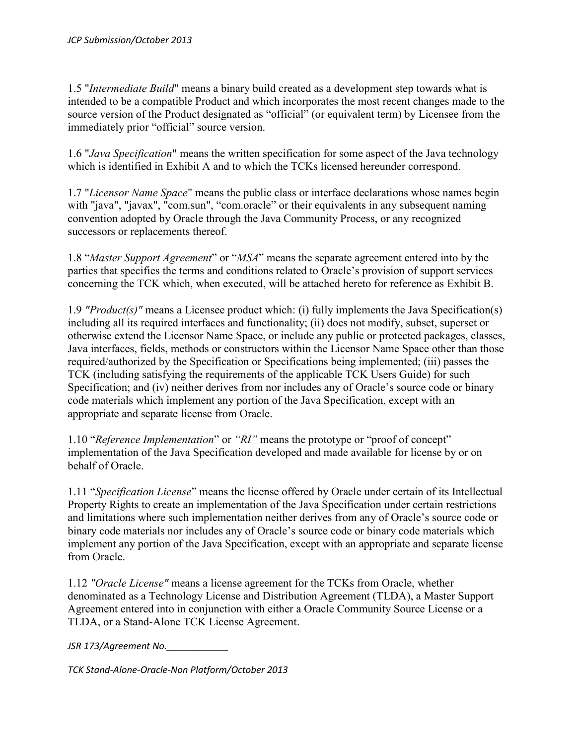1.5 "*Intermediate Build*" means a binary build created as a development step towards what is intended to be a compatible Product and which incorporates the most recent changes made to the source version of the Product designated as "official" (or equivalent term) by Licensee from the immediately prior "official" source version.

1.6 "*Java Specification*" means the written specification for some aspect of the Java technology which is identified in Exhibit A and to which the TCKs licensed hereunder correspond.

1.7 "*Licensor Name Space*" means the public class or interface declarations whose names begin with "java", "javax", "com.sun", "com.oracle" or their equivalents in any subsequent naming convention adopted by Oracle through the Java Community Process, or any recognized successors or replacements thereof.

1.8 "*Master Support Agreement*" or "*MSA*" means the separate agreement entered into by the parties that specifies the terms and conditions related to Oracle's provision of support services concerning the TCK which, when executed, will be attached hereto for reference as Exhibit B.

1.9 *"Product(s)"* means a Licensee product which: (i) fully implements the Java Specification(s) including all its required interfaces and functionality; (ii) does not modify, subset, superset or otherwise extend the Licensor Name Space, or include any public or protected packages, classes, Java interfaces, fields, methods or constructors within the Licensor Name Space other than those required/authorized by the Specification or Specifications being implemented; (iii) passes the TCK (including satisfying the requirements of the applicable TCK Users Guide) for such Specification; and (iv) neither derives from nor includes any of Oracle's source code or binary code materials which implement any portion of the Java Specification, except with an appropriate and separate license from Oracle.

1.10 "*Reference Implementation*" or *"RI"* means the prototype or "proof of concept" implementation of the Java Specification developed and made available for license by or on behalf of Oracle.

1.11 "*Specification License*" means the license offered by Oracle under certain of its Intellectual Property Rights to create an implementation of the Java Specification under certain restrictions and limitations where such implementation neither derives from any of Oracle's source code or binary code materials nor includes any of Oracle's source code or binary code materials which implement any portion of the Java Specification, except with an appropriate and separate license from Oracle.

1.12 *"Oracle License"* means a license agreement for the TCKs from Oracle, whether denominated as a Technology License and Distribution Agreement (TLDA), a Master Support Agreement entered into in conjunction with either a Oracle Community Source License or a TLDA, or a Stand-Alone TCK License Agreement.

*JSR 173/Agreement No.\_\_\_\_\_\_\_\_\_\_\_\_*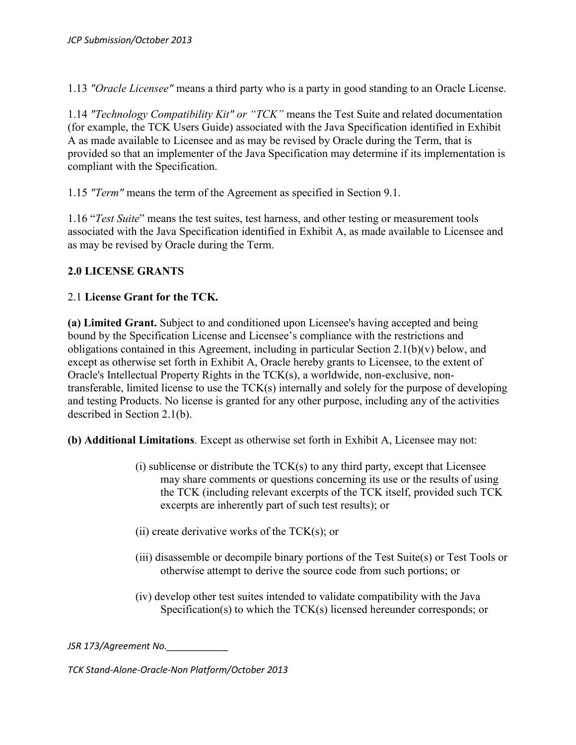1.13 *"Oracle Licensee"* means a third party who is a party in good standing to an Oracle License.

1.14 *"Technology Compatibility Kit" or "TCK"* means the Test Suite and related documentation (for example, the TCK Users Guide) associated with the Java Specification identified in Exhibit A as made available to Licensee and as may be revised by Oracle during the Term, that is provided so that an implementer of the Java Specification may determine if its implementation is compliant with the Specification.

1.15 *"Term"* means the term of the Agreement as specified in Section 9.1.

1.16 "*Test Suite*" means the test suites, test harness, and other testing or measurement tools associated with the Java Specification identified in Exhibit A, as made available to Licensee and as may be revised by Oracle during the Term.

## **2.0 LICENSE GRANTS**

#### 2.1 **License Grant for the TCK.**

**(a) Limited Grant.** Subject to and conditioned upon Licensee's having accepted and being bound by the Specification License and Licensee's compliance with the restrictions and obligations contained in this Agreement, including in particular Section 2.1(b)(v) below, and except as otherwise set forth in Exhibit A, Oracle hereby grants to Licensee, to the extent of Oracle's Intellectual Property Rights in the TCK(s), a worldwide, non-exclusive, nontransferable, limited license to use the TCK(s) internally and solely for the purpose of developing and testing Products. No license is granted for any other purpose, including any of the activities described in Section 2.1(b).

**(b) Additional Limitations**. Except as otherwise set forth in Exhibit A, Licensee may not:

- $(i)$  sublicense or distribute the  $TCK(s)$  to any third party, except that Licensee may share comments or questions concerning its use or the results of using the TCK (including relevant excerpts of the TCK itself, provided such TCK excerpts are inherently part of such test results); or
- (ii) create derivative works of the  $TCK(s)$ ; or
- (iii) disassemble or decompile binary portions of the Test Suite(s) or Test Tools or otherwise attempt to derive the source code from such portions; or
- (iv) develop other test suites intended to validate compatibility with the Java Specification(s) to which the TCK(s) licensed hereunder corresponds; or

*JSR 173/Agreement No.\_\_\_\_\_\_\_\_\_\_\_\_*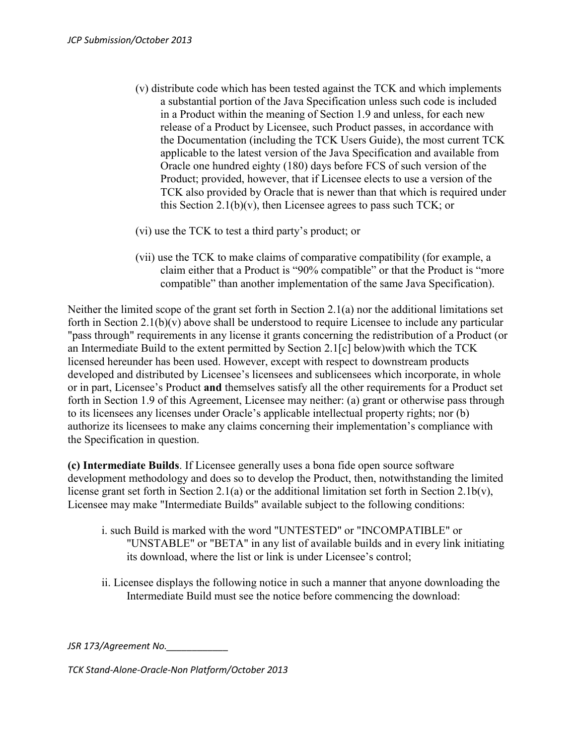- (v) distribute code which has been tested against the TCK and which implements a substantial portion of the Java Specification unless such code is included in a Product within the meaning of Section 1.9 and unless, for each new release of a Product by Licensee, such Product passes, in accordance with the Documentation (including the TCK Users Guide), the most current TCK applicable to the latest version of the Java Specification and available from Oracle one hundred eighty (180) days before FCS of such version of the Product; provided, however, that if Licensee elects to use a version of the TCK also provided by Oracle that is newer than that which is required under this Section 2.1(b)(v), then Licensee agrees to pass such TCK; or
- (vi) use the TCK to test a third party's product; or
- (vii) use the TCK to make claims of comparative compatibility (for example, a claim either that a Product is "90% compatible" or that the Product is "more compatible" than another implementation of the same Java Specification).

Neither the limited scope of the grant set forth in Section 2.1(a) nor the additional limitations set forth in Section 2.1(b)(v) above shall be understood to require Licensee to include any particular "pass through" requirements in any license it grants concerning the redistribution of a Product (or an Intermediate Build to the extent permitted by Section 2.1[c] below)with which the TCK licensed hereunder has been used. However, except with respect to downstream products developed and distributed by Licensee's licensees and sublicensees which incorporate, in whole or in part, Licensee's Product **and** themselves satisfy all the other requirements for a Product set forth in Section 1.9 of this Agreement, Licensee may neither: (a) grant or otherwise pass through to its licensees any licenses under Oracle's applicable intellectual property rights; nor (b) authorize its licensees to make any claims concerning their implementation's compliance with the Specification in question.

**(c) Intermediate Builds**. If Licensee generally uses a bona fide open source software development methodology and does so to develop the Product, then, notwithstanding the limited license grant set forth in Section 2.1(a) or the additional limitation set forth in Section 2.1b(v), Licensee may make "Intermediate Builds" available subject to the following conditions:

- i. such Build is marked with the word "UNTESTED" or "INCOMPATIBLE" or "UNSTABLE" or "BETA" in any list of available builds and in every link initiating its download, where the list or link is under Licensee's control;
- ii. Licensee displays the following notice in such a manner that anyone downloading the Intermediate Build must see the notice before commencing the download:

*JSR 173/Agreement No.\_\_\_\_\_\_\_\_\_\_\_\_*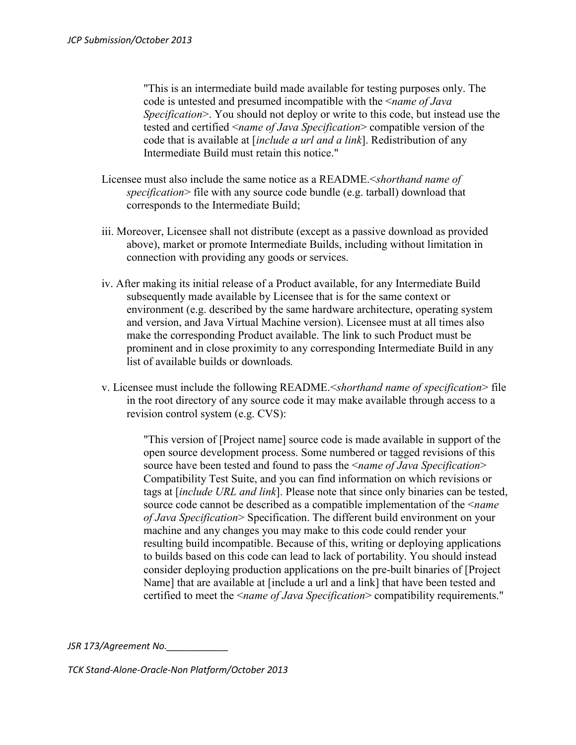"This is an intermediate build made available for testing purposes only. The code is untested and presumed incompatible with the <*name of Java Specification*>. You should not deploy or write to this code, but instead use the tested and certified <*name of Java Specification*> compatible version of the code that is available at [*include a url and a link*]. Redistribution of any Intermediate Build must retain this notice."

- Licensee must also include the same notice as a README.<*shorthand name of specification*> file with any source code bundle (e.g. tarball) download that corresponds to the Intermediate Build;
- iii. Moreover, Licensee shall not distribute (except as a passive download as provided above), market or promote Intermediate Builds, including without limitation in connection with providing any goods or services.
- iv. After making its initial release of a Product available, for any Intermediate Build subsequently made available by Licensee that is for the same context or environment (e.g. described by the same hardware architecture, operating system and version, and Java Virtual Machine version). Licensee must at all times also make the corresponding Product available. The link to such Product must be prominent and in close proximity to any corresponding Intermediate Build in any list of available builds or downloads*.*
- v. Licensee must include the following README.<*shorthand name of specification*> file in the root directory of any source code it may make available through access to a revision control system (e.g. CVS):

"This version of [Project name] source code is made available in support of the open source development process. Some numbered or tagged revisions of this source have been tested and found to pass the <*name of Java Specification*> Compatibility Test Suite, and you can find information on which revisions or tags at [*include URL and link*]. Please note that since only binaries can be tested, source code cannot be described as a compatible implementation of the <*name of Java Specification*> Specification. The different build environment on your machine and any changes you may make to this code could render your resulting build incompatible. Because of this, writing or deploying applications to builds based on this code can lead to lack of portability. You should instead consider deploying production applications on the pre-built binaries of [Project Name] that are available at [include a url and a link] that have been tested and certified to meet the <*name of Java Specification*> compatibility requirements."

*JSR 173/Agreement No.\_\_\_\_\_\_\_\_\_\_\_\_*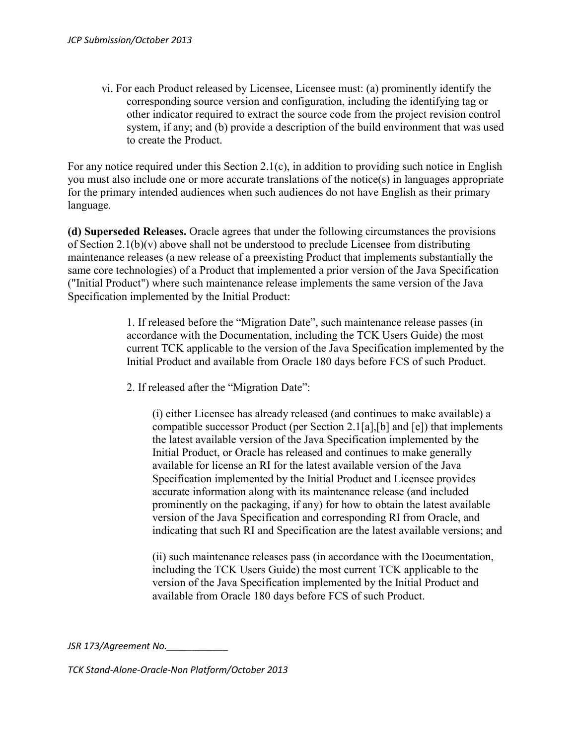vi. For each Product released by Licensee, Licensee must: (a) prominently identify the corresponding source version and configuration, including the identifying tag or other indicator required to extract the source code from the project revision control system, if any; and (b) provide a description of the build environment that was used to create the Product.

For any notice required under this Section 2.1(c), in addition to providing such notice in English you must also include one or more accurate translations of the notice(s) in languages appropriate for the primary intended audiences when such audiences do not have English as their primary language.

**(d) Superseded Releases.** Oracle agrees that under the following circumstances the provisions of Section 2.1(b)(v) above shall not be understood to preclude Licensee from distributing maintenance releases (a new release of a preexisting Product that implements substantially the same core technologies) of a Product that implemented a prior version of the Java Specification ("Initial Product") where such maintenance release implements the same version of the Java Specification implemented by the Initial Product:

> 1. If released before the "Migration Date", such maintenance release passes (in accordance with the Documentation, including the TCK Users Guide) the most current TCK applicable to the version of the Java Specification implemented by the Initial Product and available from Oracle 180 days before FCS of such Product.

2. If released after the "Migration Date":

(i) either Licensee has already released (and continues to make available) a compatible successor Product (per Section 2.1[a],[b] and [e]) that implements the latest available version of the Java Specification implemented by the Initial Product, or Oracle has released and continues to make generally available for license an RI for the latest available version of the Java Specification implemented by the Initial Product and Licensee provides accurate information along with its maintenance release (and included prominently on the packaging, if any) for how to obtain the latest available version of the Java Specification and corresponding RI from Oracle, and indicating that such RI and Specification are the latest available versions; and

(ii) such maintenance releases pass (in accordance with the Documentation, including the TCK Users Guide) the most current TCK applicable to the version of the Java Specification implemented by the Initial Product and available from Oracle 180 days before FCS of such Product.

*JSR 173/Agreement No.\_\_\_\_\_\_\_\_\_\_\_\_*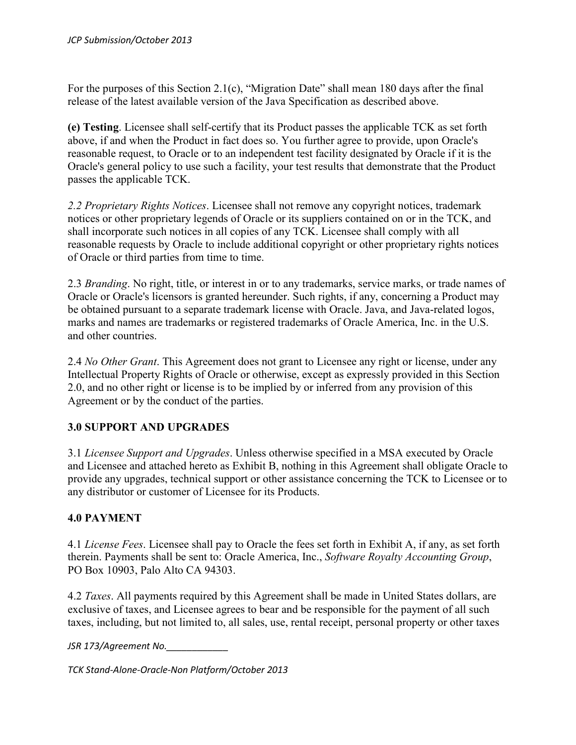For the purposes of this Section 2.1(c), "Migration Date" shall mean 180 days after the final release of the latest available version of the Java Specification as described above.

**(e) Testing**. Licensee shall self-certify that its Product passes the applicable TCK as set forth above, if and when the Product in fact does so. You further agree to provide, upon Oracle's reasonable request, to Oracle or to an independent test facility designated by Oracle if it is the Oracle's general policy to use such a facility, your test results that demonstrate that the Product passes the applicable TCK.

*2.2 Proprietary Rights Notices*. Licensee shall not remove any copyright notices, trademark notices or other proprietary legends of Oracle or its suppliers contained on or in the TCK, and shall incorporate such notices in all copies of any TCK. Licensee shall comply with all reasonable requests by Oracle to include additional copyright or other proprietary rights notices of Oracle or third parties from time to time.

2.3 *Branding*. No right, title, or interest in or to any trademarks, service marks, or trade names of Oracle or Oracle's licensors is granted hereunder. Such rights, if any, concerning a Product may be obtained pursuant to a separate trademark license with Oracle. Java, and Java-related logos, marks and names are trademarks or registered trademarks of Oracle America, Inc. in the U.S. and other countries.

2.4 *No Other Grant*. This Agreement does not grant to Licensee any right or license, under any Intellectual Property Rights of Oracle or otherwise, except as expressly provided in this Section 2.0, and no other right or license is to be implied by or inferred from any provision of this Agreement or by the conduct of the parties.

## **3.0 SUPPORT AND UPGRADES**

3.1 *Licensee Support and Upgrades*. Unless otherwise specified in a MSA executed by Oracle and Licensee and attached hereto as Exhibit B, nothing in this Agreement shall obligate Oracle to provide any upgrades, technical support or other assistance concerning the TCK to Licensee or to any distributor or customer of Licensee for its Products.

## **4.0 PAYMENT**

4.1 *License Fees*. Licensee shall pay to Oracle the fees set forth in Exhibit A, if any, as set forth therein. Payments shall be sent to: Oracle America, Inc., *Software Royalty Accounting Group*, PO Box 10903, Palo Alto CA 94303.

4.2 *Taxes*. All payments required by this Agreement shall be made in United States dollars, are exclusive of taxes, and Licensee agrees to bear and be responsible for the payment of all such taxes, including, but not limited to, all sales, use, rental receipt, personal property or other taxes

*JSR 173/Agreement No.\_\_\_\_\_\_\_\_\_\_\_\_*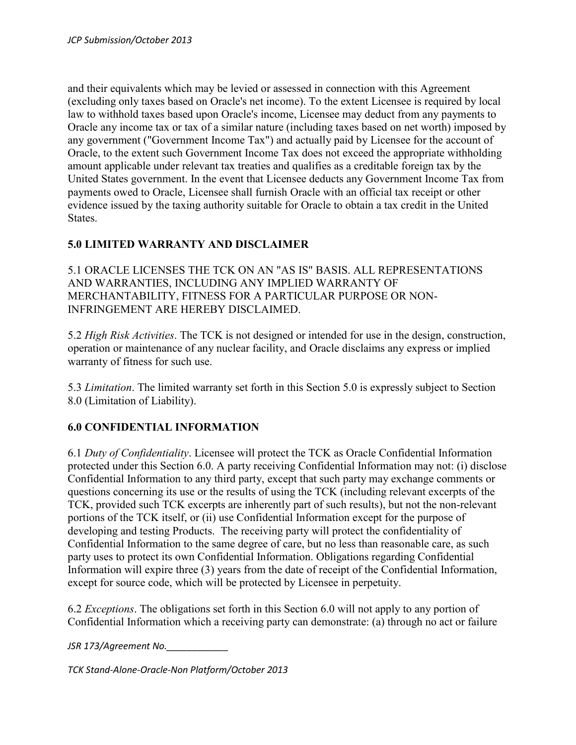and their equivalents which may be levied or assessed in connection with this Agreement (excluding only taxes based on Oracle's net income). To the extent Licensee is required by local law to withhold taxes based upon Oracle's income, Licensee may deduct from any payments to Oracle any income tax or tax of a similar nature (including taxes based on net worth) imposed by any government ("Government Income Tax") and actually paid by Licensee for the account of Oracle, to the extent such Government Income Tax does not exceed the appropriate withholding amount applicable under relevant tax treaties and qualifies as a creditable foreign tax by the United States government. In the event that Licensee deducts any Government Income Tax from payments owed to Oracle, Licensee shall furnish Oracle with an official tax receipt or other evidence issued by the taxing authority suitable for Oracle to obtain a tax credit in the United States.

# **5.0 LIMITED WARRANTY AND DISCLAIMER**

5.1 ORACLE LICENSES THE TCK ON AN "AS IS" BASIS. ALL REPRESENTATIONS AND WARRANTIES, INCLUDING ANY IMPLIED WARRANTY OF MERCHANTABILITY, FITNESS FOR A PARTICULAR PURPOSE OR NON-INFRINGEMENT ARE HEREBY DISCLAIMED.

5.2 *High Risk Activities*. The TCK is not designed or intended for use in the design, construction, operation or maintenance of any nuclear facility, and Oracle disclaims any express or implied warranty of fitness for such use.

5.3 *Limitation*. The limited warranty set forth in this Section 5.0 is expressly subject to Section 8.0 (Limitation of Liability).

## **6.0 CONFIDENTIAL INFORMATION**

6.1 *Duty of Confidentiality*. Licensee will protect the TCK as Oracle Confidential Information protected under this Section 6.0. A party receiving Confidential Information may not: (i) disclose Confidential Information to any third party, except that such party may exchange comments or questions concerning its use or the results of using the TCK (including relevant excerpts of the TCK, provided such TCK excerpts are inherently part of such results), but not the non-relevant portions of the TCK itself, or (ii) use Confidential Information except for the purpose of developing and testing Products. The receiving party will protect the confidentiality of Confidential Information to the same degree of care, but no less than reasonable care, as such party uses to protect its own Confidential Information. Obligations regarding Confidential Information will expire three (3) years from the date of receipt of the Confidential Information, except for source code, which will be protected by Licensee in perpetuity.

6.2 *Exceptions*. The obligations set forth in this Section 6.0 will not apply to any portion of Confidential Information which a receiving party can demonstrate: (a) through no act or failure

*JSR 173/Agreement No.\_\_\_\_\_\_\_\_\_\_\_\_*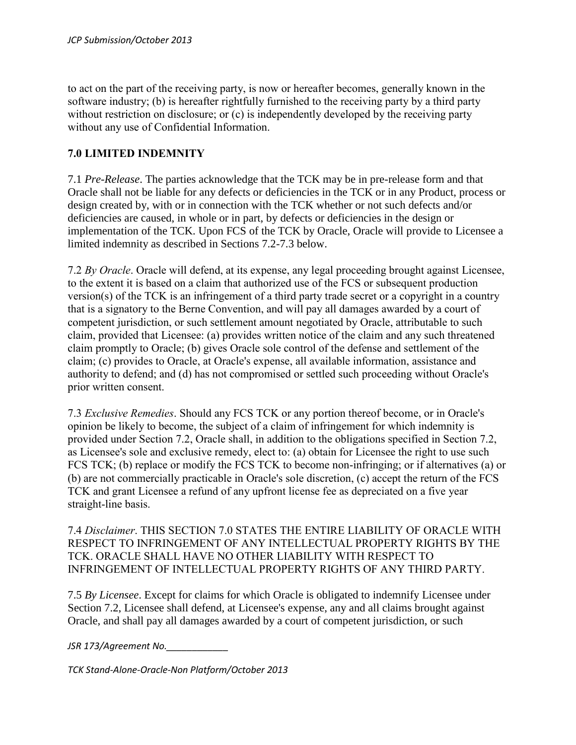to act on the part of the receiving party, is now or hereafter becomes, generally known in the software industry; (b) is hereafter rightfully furnished to the receiving party by a third party without restriction on disclosure; or (c) is independently developed by the receiving party without any use of Confidential Information.

#### **7.0 LIMITED INDEMNITY**

7.1 *Pre-Release*. The parties acknowledge that the TCK may be in pre-release form and that Oracle shall not be liable for any defects or deficiencies in the TCK or in any Product, process or design created by, with or in connection with the TCK whether or not such defects and/or deficiencies are caused, in whole or in part, by defects or deficiencies in the design or implementation of the TCK. Upon FCS of the TCK by Oracle, Oracle will provide to Licensee a limited indemnity as described in Sections 7.2-7.3 below.

7.2 *By Oracle*. Oracle will defend, at its expense, any legal proceeding brought against Licensee, to the extent it is based on a claim that authorized use of the FCS or subsequent production version(s) of the TCK is an infringement of a third party trade secret or a copyright in a country that is a signatory to the Berne Convention, and will pay all damages awarded by a court of competent jurisdiction, or such settlement amount negotiated by Oracle, attributable to such claim, provided that Licensee: (a) provides written notice of the claim and any such threatened claim promptly to Oracle; (b) gives Oracle sole control of the defense and settlement of the claim; (c) provides to Oracle, at Oracle's expense, all available information, assistance and authority to defend; and (d) has not compromised or settled such proceeding without Oracle's prior written consent.

7.3 *Exclusive Remedies*. Should any FCS TCK or any portion thereof become, or in Oracle's opinion be likely to become, the subject of a claim of infringement for which indemnity is provided under Section 7.2, Oracle shall, in addition to the obligations specified in Section 7.2, as Licensee's sole and exclusive remedy, elect to: (a) obtain for Licensee the right to use such FCS TCK; (b) replace or modify the FCS TCK to become non-infringing; or if alternatives (a) or (b) are not commercially practicable in Oracle's sole discretion, (c) accept the return of the FCS TCK and grant Licensee a refund of any upfront license fee as depreciated on a five year straight-line basis.

7.4 *Disclaimer*. THIS SECTION 7.0 STATES THE ENTIRE LIABILITY OF ORACLE WITH RESPECT TO INFRINGEMENT OF ANY INTELLECTUAL PROPERTY RIGHTS BY THE TCK. ORACLE SHALL HAVE NO OTHER LIABILITY WITH RESPECT TO INFRINGEMENT OF INTELLECTUAL PROPERTY RIGHTS OF ANY THIRD PARTY.

7.5 *By Licensee*. Except for claims for which Oracle is obligated to indemnify Licensee under Section 7.2, Licensee shall defend, at Licensee's expense, any and all claims brought against Oracle, and shall pay all damages awarded by a court of competent jurisdiction, or such

*JSR 173/Agreement No.\_\_\_\_\_\_\_\_\_\_\_\_*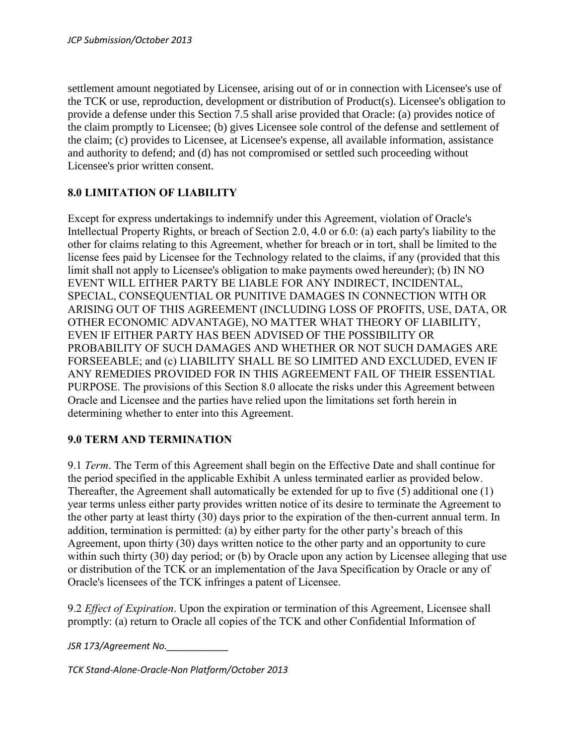settlement amount negotiated by Licensee, arising out of or in connection with Licensee's use of the TCK or use, reproduction, development or distribution of Product(s). Licensee's obligation to provide a defense under this Section 7.5 shall arise provided that Oracle: (a) provides notice of the claim promptly to Licensee; (b) gives Licensee sole control of the defense and settlement of the claim; (c) provides to Licensee, at Licensee's expense, all available information, assistance and authority to defend; and (d) has not compromised or settled such proceeding without Licensee's prior written consent.

## **8.0 LIMITATION OF LIABILITY**

Except for express undertakings to indemnify under this Agreement, violation of Oracle's Intellectual Property Rights, or breach of Section 2.0, 4.0 or 6.0: (a) each party's liability to the other for claims relating to this Agreement, whether for breach or in tort, shall be limited to the license fees paid by Licensee for the Technology related to the claims, if any (provided that this limit shall not apply to Licensee's obligation to make payments owed hereunder); (b) IN NO EVENT WILL EITHER PARTY BE LIABLE FOR ANY INDIRECT, INCIDENTAL, SPECIAL, CONSEQUENTIAL OR PUNITIVE DAMAGES IN CONNECTION WITH OR ARISING OUT OF THIS AGREEMENT (INCLUDING LOSS OF PROFITS, USE, DATA, OR OTHER ECONOMIC ADVANTAGE), NO MATTER WHAT THEORY OF LIABILITY, EVEN IF EITHER PARTY HAS BEEN ADVISED OF THE POSSIBILITY OR PROBABILITY OF SUCH DAMAGES AND WHETHER OR NOT SUCH DAMAGES ARE FORSEEABLE; and (c) LIABILITY SHALL BE SO LIMITED AND EXCLUDED, EVEN IF ANY REMEDIES PROVIDED FOR IN THIS AGREEMENT FAIL OF THEIR ESSENTIAL PURPOSE. The provisions of this Section 8.0 allocate the risks under this Agreement between Oracle and Licensee and the parties have relied upon the limitations set forth herein in determining whether to enter into this Agreement.

## **9.0 TERM AND TERMINATION**

9.1 *Term*. The Term of this Agreement shall begin on the Effective Date and shall continue for the period specified in the applicable Exhibit A unless terminated earlier as provided below. Thereafter, the Agreement shall automatically be extended for up to five (5) additional one (1) year terms unless either party provides written notice of its desire to terminate the Agreement to the other party at least thirty (30) days prior to the expiration of the then-current annual term. In addition, termination is permitted: (a) by either party for the other party's breach of this Agreement, upon thirty (30) days written notice to the other party and an opportunity to cure within such thirty (30) day period; or (b) by Oracle upon any action by Licensee alleging that use or distribution of the TCK or an implementation of the Java Specification by Oracle or any of Oracle's licensees of the TCK infringes a patent of Licensee.

9.2 *Effect of Expiration*. Upon the expiration or termination of this Agreement, Licensee shall promptly: (a) return to Oracle all copies of the TCK and other Confidential Information of

*JSR 173/Agreement No.\_\_\_\_\_\_\_\_\_\_\_\_*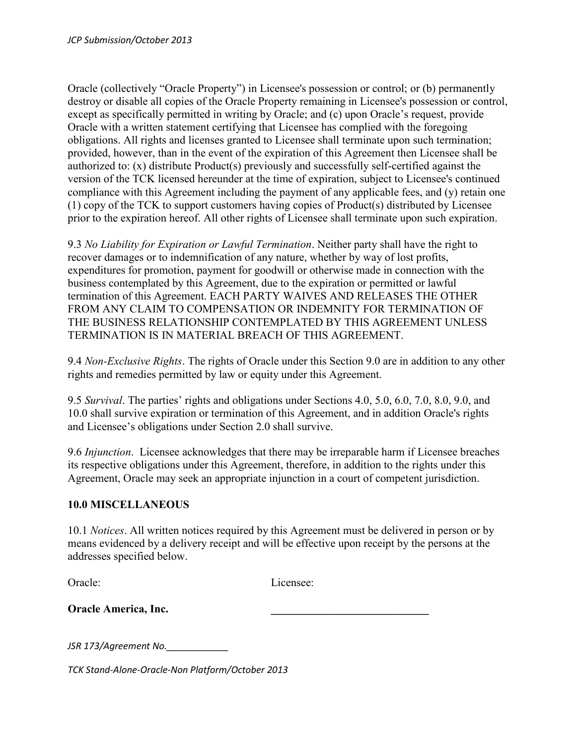Oracle (collectively "Oracle Property") in Licensee's possession or control; or (b) permanently destroy or disable all copies of the Oracle Property remaining in Licensee's possession or control, except as specifically permitted in writing by Oracle; and (c) upon Oracle's request, provide Oracle with a written statement certifying that Licensee has complied with the foregoing obligations. All rights and licenses granted to Licensee shall terminate upon such termination; provided, however, than in the event of the expiration of this Agreement then Licensee shall be authorized to: (x) distribute Product(s) previously and successfully self-certified against the version of the TCK licensed hereunder at the time of expiration, subject to Licensee's continued compliance with this Agreement including the payment of any applicable fees, and (y) retain one (1) copy of the TCK to support customers having copies of Product(s) distributed by Licensee prior to the expiration hereof. All other rights of Licensee shall terminate upon such expiration.

9.3 *No Liability for Expiration or Lawful Termination*. Neither party shall have the right to recover damages or to indemnification of any nature, whether by way of lost profits, expenditures for promotion, payment for goodwill or otherwise made in connection with the business contemplated by this Agreement, due to the expiration or permitted or lawful termination of this Agreement. EACH PARTY WAIVES AND RELEASES THE OTHER FROM ANY CLAIM TO COMPENSATION OR INDEMNITY FOR TERMINATION OF THE BUSINESS RELATIONSHIP CONTEMPLATED BY THIS AGREEMENT UNLESS TERMINATION IS IN MATERIAL BREACH OF THIS AGREEMENT.

9.4 *Non-Exclusive Rights*. The rights of Oracle under this Section 9.0 are in addition to any other rights and remedies permitted by law or equity under this Agreement.

9.5 *Survival*. The parties' rights and obligations under Sections 4.0, 5.0, 6.0, 7.0, 8.0, 9.0, and 10.0 shall survive expiration or termination of this Agreement, and in addition Oracle's rights and Licensee's obligations under Section 2.0 shall survive.

9.6 *Injunction*. Licensee acknowledges that there may be irreparable harm if Licensee breaches its respective obligations under this Agreement, therefore, in addition to the rights under this Agreement, Oracle may seek an appropriate injunction in a court of competent jurisdiction.

#### **10.0 MISCELLANEOUS**

10.1 *Notices*. All written notices required by this Agreement must be delivered in person or by means evidenced by a delivery receipt and will be effective upon receipt by the persons at the addresses specified below.

Oracle: Licensee:

**Oracle America**, **Inc.** 

*JSR 173/Agreement No.\_\_\_\_\_\_\_\_\_\_\_\_*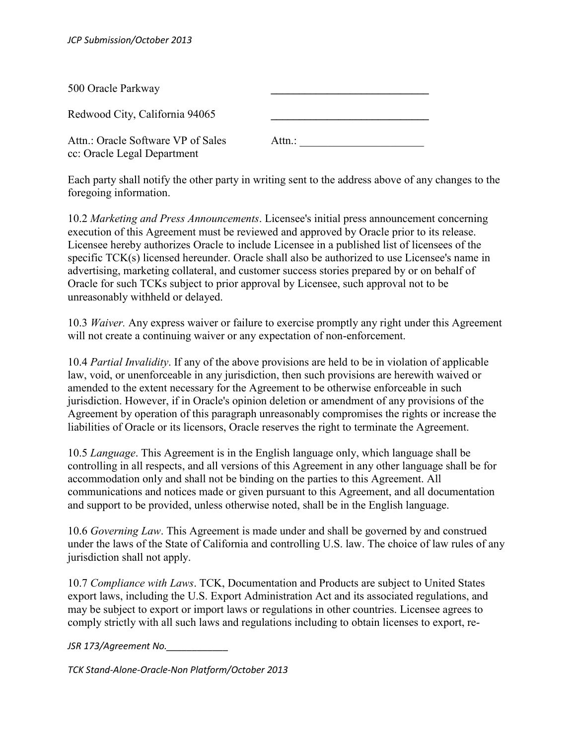| 500 Oracle Parkway                                                |        |
|-------------------------------------------------------------------|--------|
| Redwood City, California 94065                                    |        |
| Attn.: Oracle Software VP of Sales<br>cc: Oracle Legal Department | Attn.: |

Each party shall notify the other party in writing sent to the address above of any changes to the foregoing information.

10.2 *Marketing and Press Announcements*. Licensee's initial press announcement concerning execution of this Agreement must be reviewed and approved by Oracle prior to its release. Licensee hereby authorizes Oracle to include Licensee in a published list of licensees of the specific TCK(s) licensed hereunder. Oracle shall also be authorized to use Licensee's name in advertising, marketing collateral, and customer success stories prepared by or on behalf of Oracle for such TCKs subject to prior approval by Licensee, such approval not to be unreasonably withheld or delayed.

10.3 *Waiver.* Any express waiver or failure to exercise promptly any right under this Agreement will not create a continuing waiver or any expectation of non-enforcement.

10.4 *Partial Invalidity*. If any of the above provisions are held to be in violation of applicable law, void, or unenforceable in any jurisdiction, then such provisions are herewith waived or amended to the extent necessary for the Agreement to be otherwise enforceable in such jurisdiction. However, if in Oracle's opinion deletion or amendment of any provisions of the Agreement by operation of this paragraph unreasonably compromises the rights or increase the liabilities of Oracle or its licensors, Oracle reserves the right to terminate the Agreement.

10.5 *Language*. This Agreement is in the English language only, which language shall be controlling in all respects, and all versions of this Agreement in any other language shall be for accommodation only and shall not be binding on the parties to this Agreement. All communications and notices made or given pursuant to this Agreement, and all documentation and support to be provided, unless otherwise noted, shall be in the English language.

10.6 *Governing Law*. This Agreement is made under and shall be governed by and construed under the laws of the State of California and controlling U.S. law. The choice of law rules of any jurisdiction shall not apply.

10.7 *Compliance with Laws*. TCK, Documentation and Products are subject to United States export laws, including the U.S. Export Administration Act and its associated regulations, and may be subject to export or import laws or regulations in other countries. Licensee agrees to comply strictly with all such laws and regulations including to obtain licenses to export, re-

*JSR 173/Agreement No.\_\_\_\_\_\_\_\_\_\_\_\_*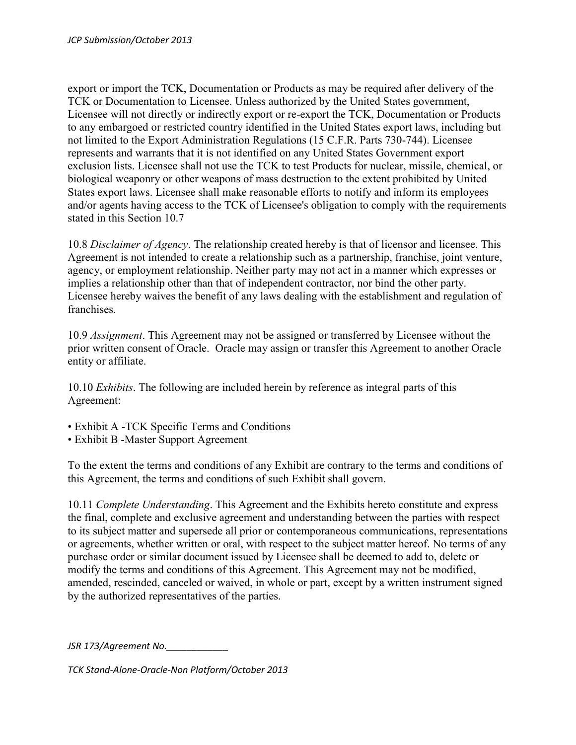export or import the TCK, Documentation or Products as may be required after delivery of the TCK or Documentation to Licensee. Unless authorized by the United States government, Licensee will not directly or indirectly export or re-export the TCK, Documentation or Products to any embargoed or restricted country identified in the United States export laws, including but not limited to the Export Administration Regulations (15 C.F.R. Parts 730-744). Licensee represents and warrants that it is not identified on any United States Government export exclusion lists. Licensee shall not use the TCK to test Products for nuclear, missile, chemical, or biological weaponry or other weapons of mass destruction to the extent prohibited by United States export laws. Licensee shall make reasonable efforts to notify and inform its employees and/or agents having access to the TCK of Licensee's obligation to comply with the requirements stated in this Section 10.7

10.8 *Disclaimer of Agency*. The relationship created hereby is that of licensor and licensee. This Agreement is not intended to create a relationship such as a partnership, franchise, joint venture, agency, or employment relationship. Neither party may not act in a manner which expresses or implies a relationship other than that of independent contractor, nor bind the other party. Licensee hereby waives the benefit of any laws dealing with the establishment and regulation of franchises.

10.9 *Assignment*. This Agreement may not be assigned or transferred by Licensee without the prior written consent of Oracle. Oracle may assign or transfer this Agreement to another Oracle entity or affiliate.

10.10 *Exhibits*. The following are included herein by reference as integral parts of this Agreement:

- Exhibit A -TCK Specific Terms and Conditions
- Exhibit B -Master Support Agreement

To the extent the terms and conditions of any Exhibit are contrary to the terms and conditions of this Agreement, the terms and conditions of such Exhibit shall govern.

10.11 *Complete Understanding*. This Agreement and the Exhibits hereto constitute and express the final, complete and exclusive agreement and understanding between the parties with respect to its subject matter and supersede all prior or contemporaneous communications, representations or agreements, whether written or oral, with respect to the subject matter hereof. No terms of any purchase order or similar document issued by Licensee shall be deemed to add to, delete or modify the terms and conditions of this Agreement. This Agreement may not be modified, amended, rescinded, canceled or waived, in whole or part, except by a written instrument signed by the authorized representatives of the parties.

*JSR 173/Agreement No.\_\_\_\_\_\_\_\_\_\_\_\_*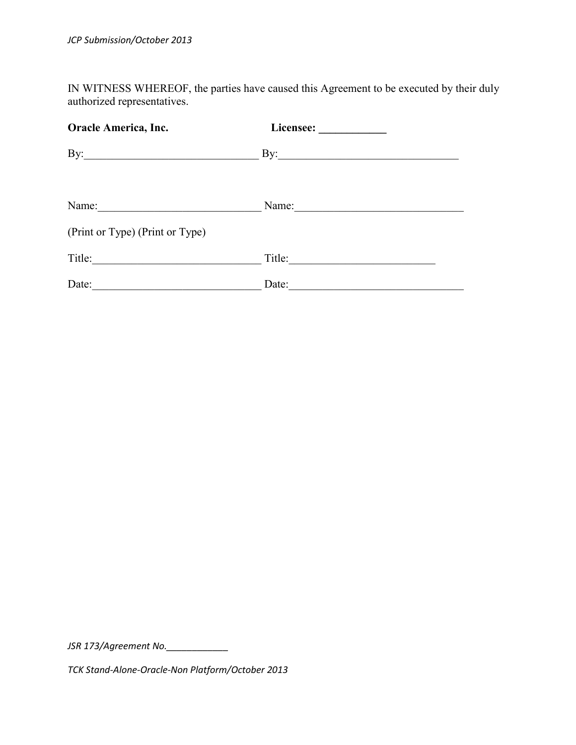IN WITNESS WHEREOF, the parties have caused this Agreement to be executed by their duly authorized representatives.

| <b>Oracle America, Inc.</b>                                                                                                    |        |  |
|--------------------------------------------------------------------------------------------------------------------------------|--------|--|
|                                                                                                                                |        |  |
| Name:<br><u> 1980 - John Stein, mars and de Brandenburg and de Brandenburg and de Brandenburg and de Brandenburg and de Br</u> | Name:  |  |
| (Print or Type) (Print or Type)                                                                                                |        |  |
| Title:                                                                                                                         | Title: |  |
| Date:                                                                                                                          | Date:  |  |

*JSR 173/Agreement No.\_\_\_\_\_\_\_\_\_\_\_\_*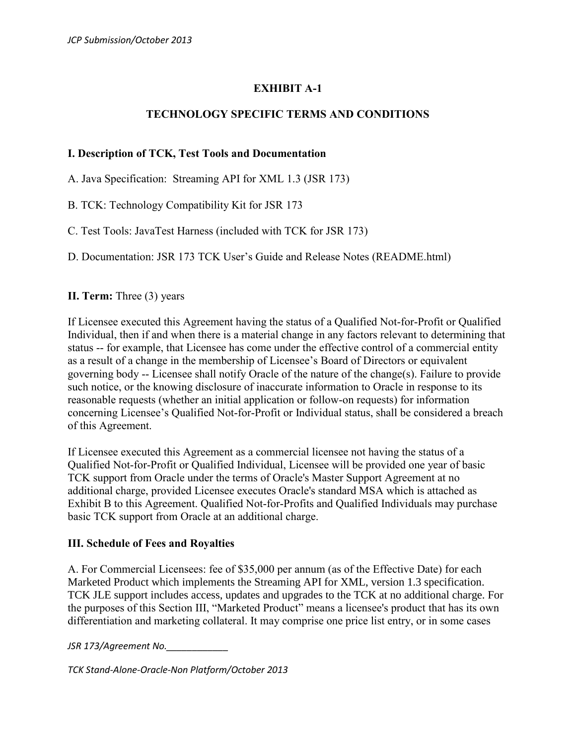# **EXHIBIT A-1**

### **TECHNOLOGY SPECIFIC TERMS AND CONDITIONS**

#### **I. Description of TCK, Test Tools and Documentation**

A. Java Specification: Streaming API for XML 1.3 (JSR 173)

B. TCK: Technology Compatibility Kit for JSR 173

C. Test Tools: JavaTest Harness (included with TCK for JSR 173)

D. Documentation: JSR 173 TCK User's Guide and Release Notes (README.html)

#### **II. Term:** Three (3) years

If Licensee executed this Agreement having the status of a Qualified Not-for-Profit or Qualified Individual, then if and when there is a material change in any factors relevant to determining that status -- for example, that Licensee has come under the effective control of a commercial entity as a result of a change in the membership of Licensee's Board of Directors or equivalent governing body -- Licensee shall notify Oracle of the nature of the change(s). Failure to provide such notice, or the knowing disclosure of inaccurate information to Oracle in response to its reasonable requests (whether an initial application or follow-on requests) for information concerning Licensee's Qualified Not-for-Profit or Individual status, shall be considered a breach of this Agreement.

If Licensee executed this Agreement as a commercial licensee not having the status of a Qualified Not-for-Profit or Qualified Individual, Licensee will be provided one year of basic TCK support from Oracle under the terms of Oracle's Master Support Agreement at no additional charge, provided Licensee executes Oracle's standard MSA which is attached as Exhibit B to this Agreement. Qualified Not-for-Profits and Qualified Individuals may purchase basic TCK support from Oracle at an additional charge.

#### **III. Schedule of Fees and Royalties**

A. For Commercial Licensees: fee of \$35,000 per annum (as of the Effective Date) for each Marketed Product which implements the Streaming API for XML, version 1.3 specification. TCK JLE support includes access, updates and upgrades to the TCK at no additional charge. For the purposes of this Section III, "Marketed Product" means a licensee's product that has its own differentiation and marketing collateral. It may comprise one price list entry, or in some cases

*JSR 173/Agreement No.\_\_\_\_\_\_\_\_\_\_\_\_*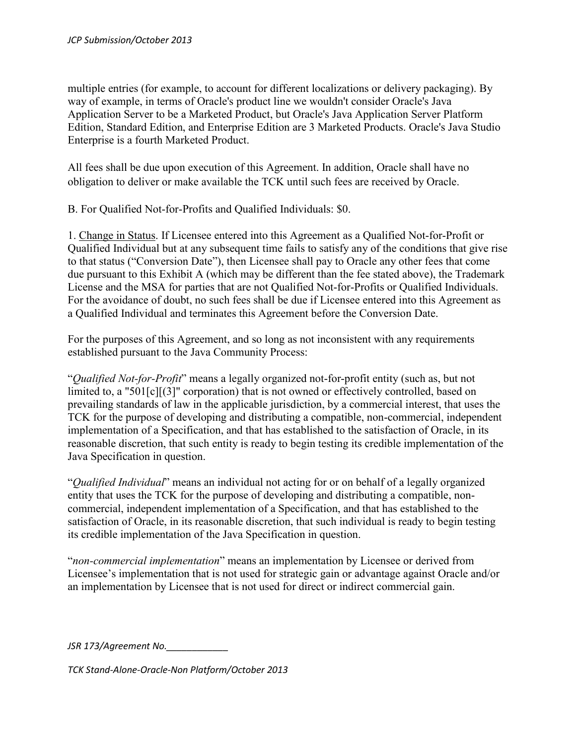multiple entries (for example, to account for different localizations or delivery packaging). By way of example, in terms of Oracle's product line we wouldn't consider Oracle's Java Application Server to be a Marketed Product, but Oracle's Java Application Server Platform Edition, Standard Edition, and Enterprise Edition are 3 Marketed Products. Oracle's Java Studio Enterprise is a fourth Marketed Product.

All fees shall be due upon execution of this Agreement. In addition, Oracle shall have no obligation to deliver or make available the TCK until such fees are received by Oracle.

B. For Qualified Not-for-Profits and Qualified Individuals: \$0.

1. Change in Status. If Licensee entered into this Agreement as a Qualified Not-for-Profit or Qualified Individual but at any subsequent time fails to satisfy any of the conditions that give rise to that status ("Conversion Date"), then Licensee shall pay to Oracle any other fees that come due pursuant to this Exhibit A (which may be different than the fee stated above), the Trademark License and the MSA for parties that are not Qualified Not-for-Profits or Qualified Individuals. For the avoidance of doubt, no such fees shall be due if Licensee entered into this Agreement as a Qualified Individual and terminates this Agreement before the Conversion Date.

For the purposes of this Agreement, and so long as not inconsistent with any requirements established pursuant to the Java Community Process:

"*Qualified Not-for-Profit*" means a legally organized not-for-profit entity (such as, but not limited to, a "501[c][(3]" corporation) that is not owned or effectively controlled, based on prevailing standards of law in the applicable jurisdiction, by a commercial interest, that uses the TCK for the purpose of developing and distributing a compatible, non-commercial, independent implementation of a Specification, and that has established to the satisfaction of Oracle, in its reasonable discretion, that such entity is ready to begin testing its credible implementation of the Java Specification in question.

"*Qualified Individual*" means an individual not acting for or on behalf of a legally organized entity that uses the TCK for the purpose of developing and distributing a compatible, noncommercial, independent implementation of a Specification, and that has established to the satisfaction of Oracle, in its reasonable discretion, that such individual is ready to begin testing its credible implementation of the Java Specification in question.

"*non-commercial implementation*" means an implementation by Licensee or derived from Licensee's implementation that is not used for strategic gain or advantage against Oracle and/or an implementation by Licensee that is not used for direct or indirect commercial gain.

*JSR 173/Agreement No.\_\_\_\_\_\_\_\_\_\_\_\_*